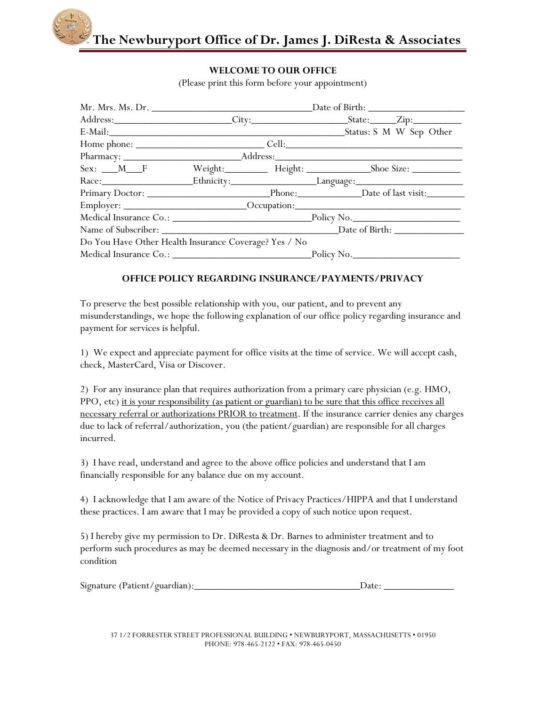

## **WELCOME TO OUR OFFICE**

(Please print this form before your appointment)

|                                                       |  |                                      | Address: City: City: State: Zip:                                                  |  |
|-------------------------------------------------------|--|--------------------------------------|-----------------------------------------------------------------------------------|--|
|                                                       |  |                                      |                                                                                   |  |
|                                                       |  |                                      |                                                                                   |  |
|                                                       |  |                                      |                                                                                   |  |
|                                                       |  |                                      |                                                                                   |  |
|                                                       |  | Race: Ethnicity: Language: Language: |                                                                                   |  |
|                                                       |  |                                      |                                                                                   |  |
|                                                       |  |                                      | Employer: ____________________________Occupation:________________________________ |  |
|                                                       |  |                                      |                                                                                   |  |
|                                                       |  |                                      |                                                                                   |  |
| Do You Have Other Health Insurance Coverage? Yes / No |  |                                      |                                                                                   |  |
|                                                       |  |                                      |                                                                                   |  |

## **OFFICE POLICY REGARDING INSURANCE/PAYMENTS/PRIVACY**

To preserve the best possible relationship with you, our patient, and to prevent any misunderstandings, we hope the following explanation of our office policy regarding insurance and payment for services is helpful.

1) We expect and appreciate payment for office visits at the time of service. We will accept cash, check, MasterCard, Visa or Discover.

2) For any insurance plan that requires authorization from a primary care physician (e.g. HMO, PPO, etc) it is your responsibility (as patient or guardian) to be sure that this office receives all necessary referral or authorizations PRIOR to treatment. If the insurance carrier denies any charges due to lack of referral/authorization, you (the patient/guardian) are responsible for all charges incurred.

3) I have read, understand and agree to the above office policies and understand that I am financially responsible for any balance due on my account.

4) I acknowledge that I am aware of the Notice of Privacy Practices/HIPPA and that I understand these practices. I am aware that I may be provided a copy of such notice upon request.

5) I hereby give my permission to Dr. DiResta & Dr. Barnes to administer treatment and to perform such procedures as may be deemed necessary in the diagnosis and/or treatment of my foot condition

| Signature (Patient/guardian): |  |  |
|-------------------------------|--|--|
|-------------------------------|--|--|

37 1/2 FORRESTER STREET PROFESSIONAL BUILDING • NEWBURYPORT, MASSACHUSETTS • 01950 PHONE: 978-465-2122 • FAX: 978-465-0450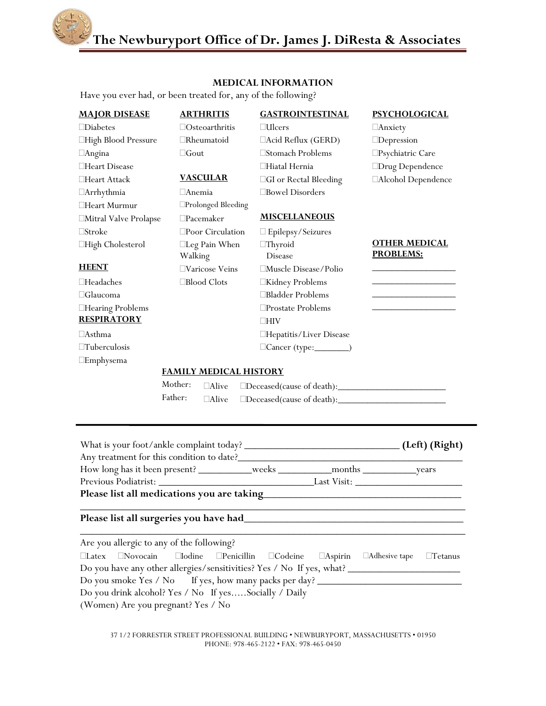**The Newburyport Office of Dr. James J. DiResta & Associates**

## **MEDICAL INFORMATION**

Have you ever had, or been treated for, any of the following?

| <b>MAJOR DISEASE</b><br>$\Box$ Diabetes<br>□High Blood Pressure<br>□Angina<br>□Heart Disease<br>□Heart Attack<br>□Arrhythmia<br>□Heart Murmur                                                                                                                                                                                                                                                                                                          | <b>ARTHRITIS</b><br>$\Box$ Osteoarthritis<br>$\Box$ Rheumatoid<br>$\Box$ Gout<br><b>VASCULAR</b><br>$\Box$ Anemia<br>□Prolonged Bleeding | <b>GASTROINTESTINAL</b><br>$\Box$ Ulcers<br>□Acid Reflux (GERD)<br>□Stomach Problems<br>□Hiatal Hernia<br><b>CGI</b> or Rectal Bleeding<br>□Bowel Disorders | <b>PSYCHOLOGICAL</b><br>$\Box$ Anxiety<br>$\Box$ Depression<br>$\square$ Psychiatric Care<br>□Drug Dependence<br>□Alcohol Dependence |  |  |  |  |
|--------------------------------------------------------------------------------------------------------------------------------------------------------------------------------------------------------------------------------------------------------------------------------------------------------------------------------------------------------------------------------------------------------------------------------------------------------|------------------------------------------------------------------------------------------------------------------------------------------|-------------------------------------------------------------------------------------------------------------------------------------------------------------|--------------------------------------------------------------------------------------------------------------------------------------|--|--|--|--|
| □Mitral Valve Prolapse                                                                                                                                                                                                                                                                                                                                                                                                                                 | $\square$ Pacemaker                                                                                                                      | <b>MISCELLANEOUS</b>                                                                                                                                        |                                                                                                                                      |  |  |  |  |
| $\Box$ Stroke                                                                                                                                                                                                                                                                                                                                                                                                                                          | $\square$ Poor Circulation                                                                                                               | □ Epilepsy/Seizures                                                                                                                                         |                                                                                                                                      |  |  |  |  |
| □High Cholesterol                                                                                                                                                                                                                                                                                                                                                                                                                                      | $\Box$ Leg Pain When<br>Walking                                                                                                          | $\Box$ Thyroid<br><b>Disease</b>                                                                                                                            | <b>OTHER MEDICAL</b><br><b>PROBLEMS:</b>                                                                                             |  |  |  |  |
| <b>HEENT</b>                                                                                                                                                                                                                                                                                                                                                                                                                                           | □Varicose Veins                                                                                                                          | □Muscle Disease/Polio                                                                                                                                       |                                                                                                                                      |  |  |  |  |
| $\Box$ Headaches                                                                                                                                                                                                                                                                                                                                                                                                                                       | □Blood Clots                                                                                                                             | □Kidney Problems                                                                                                                                            |                                                                                                                                      |  |  |  |  |
| $\Box$ Glaucoma                                                                                                                                                                                                                                                                                                                                                                                                                                        |                                                                                                                                          | □Bladder Problems                                                                                                                                           |                                                                                                                                      |  |  |  |  |
| □Hearing Problems                                                                                                                                                                                                                                                                                                                                                                                                                                      |                                                                                                                                          | □Prostate Problems                                                                                                                                          |                                                                                                                                      |  |  |  |  |
| <b>RESPIRATORY</b>                                                                                                                                                                                                                                                                                                                                                                                                                                     |                                                                                                                                          | $\Box$ HIV                                                                                                                                                  |                                                                                                                                      |  |  |  |  |
| $\Box$ Asthma                                                                                                                                                                                                                                                                                                                                                                                                                                          |                                                                                                                                          | □Hepatitis/Liver Disease                                                                                                                                    |                                                                                                                                      |  |  |  |  |
| $\Box$ Tuberculosis                                                                                                                                                                                                                                                                                                                                                                                                                                    |                                                                                                                                          | Cancer (type:__________)                                                                                                                                    |                                                                                                                                      |  |  |  |  |
| $\square$ Emphysema                                                                                                                                                                                                                                                                                                                                                                                                                                    |                                                                                                                                          |                                                                                                                                                             |                                                                                                                                      |  |  |  |  |
| <b>FAMILY MEDICAL HISTORY</b><br>Mother:                                                                                                                                                                                                                                                                                                                                                                                                               |                                                                                                                                          |                                                                                                                                                             |                                                                                                                                      |  |  |  |  |
| Father:                                                                                                                                                                                                                                                                                                                                                                                                                                                | $\Box$ Alive<br>$\Box$ Alive                                                                                                             |                                                                                                                                                             |                                                                                                                                      |  |  |  |  |
|                                                                                                                                                                                                                                                                                                                                                                                                                                                        |                                                                                                                                          |                                                                                                                                                             |                                                                                                                                      |  |  |  |  |
|                                                                                                                                                                                                                                                                                                                                                                                                                                                        |                                                                                                                                          |                                                                                                                                                             |                                                                                                                                      |  |  |  |  |
|                                                                                                                                                                                                                                                                                                                                                                                                                                                        |                                                                                                                                          |                                                                                                                                                             |                                                                                                                                      |  |  |  |  |
| Please list all medications you are taking <b>Example 2018</b> 2019 12:00:00 Please list all medications you are taking                                                                                                                                                                                                                                                                                                                                |                                                                                                                                          |                                                                                                                                                             |                                                                                                                                      |  |  |  |  |
| Please list all surgeries you have had_                                                                                                                                                                                                                                                                                                                                                                                                                |                                                                                                                                          |                                                                                                                                                             |                                                                                                                                      |  |  |  |  |
| Are you allergic to any of the following?<br>$\Box$ Novocain<br>□Adhesive tape<br>$\Box$ Latex<br>$\Box$ Iodine<br>$\Box$ Penicillin<br>$\Box$ Codeine<br>$\Box$ Aspirin<br>$\Box$ Tetanus<br>Do you have any other allergies/sensitivities? Yes / No If yes, what?<br>Do you smoke Yes / No If yes, how many packs per day? __________________________<br>Do you drink alcohol? Yes / No If yesSocially / Daily<br>(Women) Are you pregnant? Yes / No |                                                                                                                                          |                                                                                                                                                             |                                                                                                                                      |  |  |  |  |

37 1/2 FORRESTER STREET PROFESSIONAL BUILDING • NEWBURYPORT, MASSACHUSETTS • 01950 PHONE: 978-465-2122 • FAX: 978-465-0450